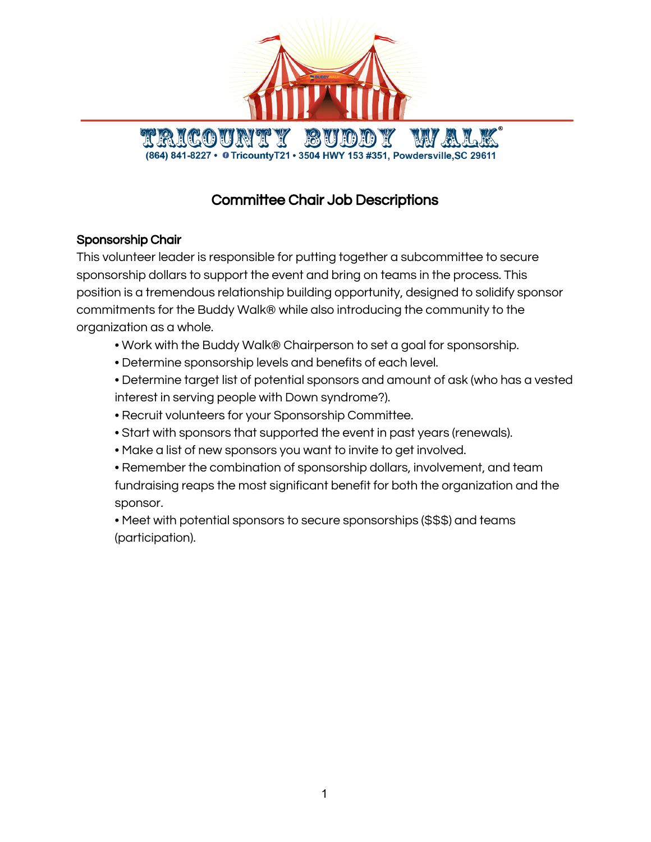

# Committee Chair Job Descriptions

# Sponsorship Chair

This volunteer leader is responsible for putting together a subcommittee to secure sponsorship dollars to support the event and bring on teams in the process. This position is a tremendous relationship building opportunity, designed to solidify sponsor commitments for the Buddy Walk® while also introducing the community to the organization as a whole.

- Work with the Buddy Walk® Chairperson to set a goal for sponsorship.
- Determine sponsorship levels and benefits of each level.
- Determine target list of potential sponsors and amount of ask (who has a vested interest in serving people with Down syndrome?).
- Recruit volunteers for your Sponsorship Committee.
- Start with sponsors that supported the event in past years (renewals).
- Make a list of new sponsors you want to invite to get involved.
- Remember the combination of sponsorship dollars, involvement, and team fundraising reaps the most significant benefit for both the organization and the sponsor.

• Meet with potential sponsors to secure sponsorships (\$\$\$) and teams (participation).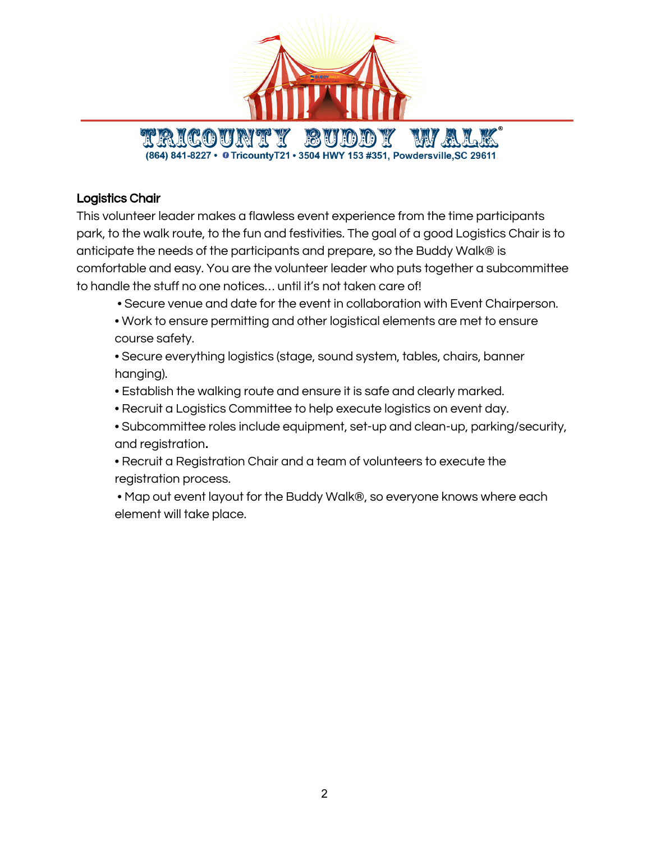

## Logistics Chair

This volunteer leader makes a flawless event experience from the time participants park, to the walk route, to the fun and festivities. The goal of a good Logistics Chair is to anticipate the needs of the participants and prepare, so the Buddy Walk® is comfortable and easy. You are the volunteer leader who puts together a subcommittee to handle the stuff no one notices… until it's not taken care of!

- Secure venue and date for the event in collaboration with Event Chairperson.
- Work to ensure permitting and other logistical elements are met to ensure course safety.

• Secure everything logistics (stage, sound system, tables, chairs, banner hanging).

- Establish the walking route and ensure it is safe and clearly marked.
- Recruit a Logistics Committee to help execute logistics on event day.
- Subcommittee roles include equipment, set-up and clean-up, parking/security, and registration.
- Recruit a Registration Chair and a team of volunteers to execute the registration process.
- Map out event layout for the Buddy Walk®, so everyone knows where each element will take place.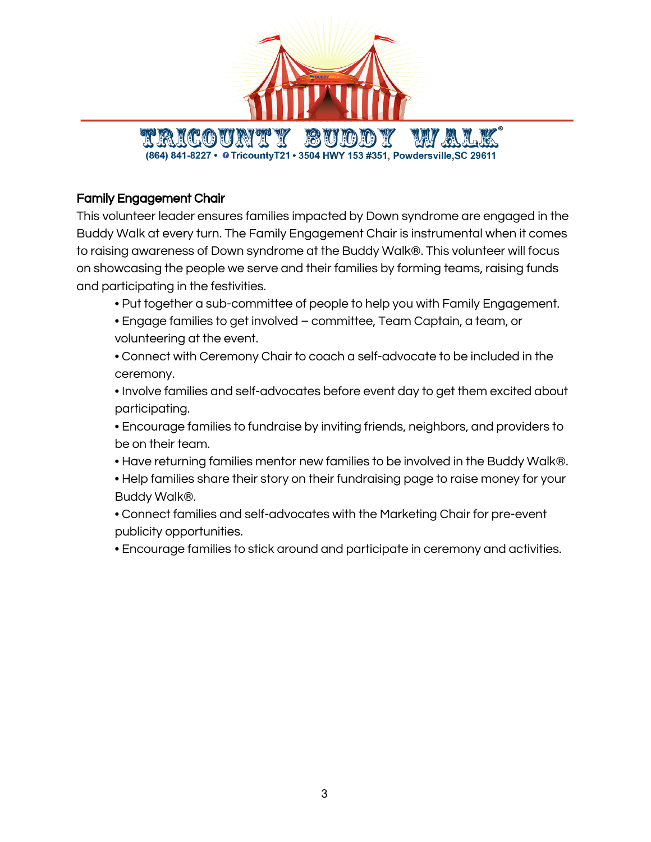

#### Family Engagement Chair

This volunteer leader ensures families impacted by Down syndrome are engaged in the Buddy Walk at every turn. The Family Engagement Chair is instrumental when it comes to raising awareness of Down syndrome at the Buddy Walk®. This volunteer will focus on showcasing the people we serve and their families by forming teams, raising funds and participating in the festivities.

- Put together a sub-committee of people to help you with Family Engagement.
- Engage families to get involved committee, Team Captain, a team, or volunteering at the event.

• Connect with Ceremony Chair to coach a self-advocate to be included in the ceremony.

• Involve families and self-advocates before event day to get them excited about participating.

• Encourage families to fundraise by inviting friends, neighbors, and providers to be on their team.

- Have returning families mentor new families to be involved in the Buddy Walk®.
- Help families share their story on their fundraising page to raise money for your Buddy Walk®.
- Connect families and self-advocates with the Marketing Chair for pre-event publicity opportunities.

• Encourage families to stick around and participate in ceremony and activities.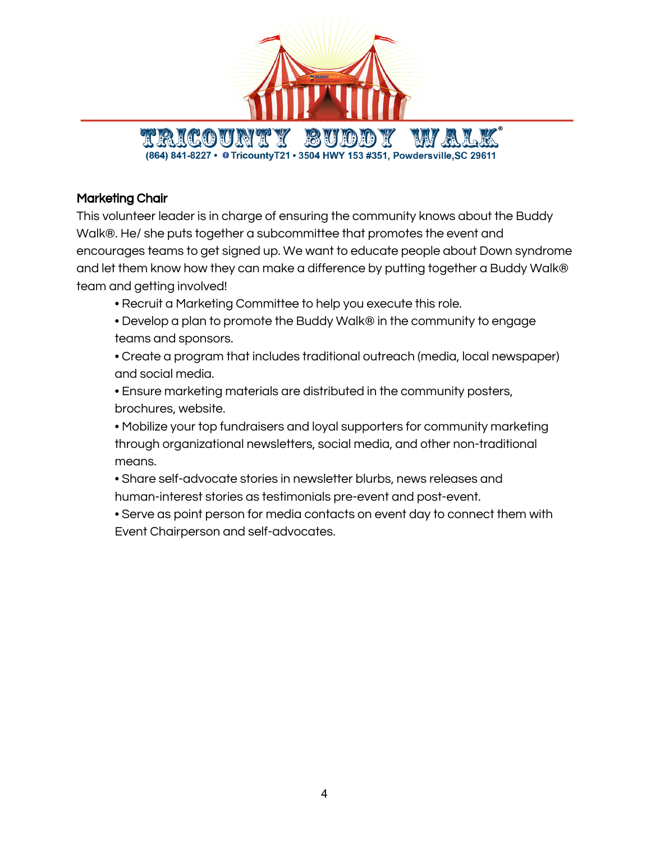

## Marketing Chair

This volunteer leader is in charge of ensuring the community knows about the Buddy Walk®. He/ she puts together a subcommittee that promotes the event and encourages teams to get signed up. We want to educate people about Down syndrome and let them know how they can make a difference by putting together a Buddy Walk® team and getting involved!

- Recruit a Marketing Committee to help you execute this role.
- Develop a plan to promote the Buddy Walk® in the community to engage teams and sponsors.

• Create a program that includes traditional outreach (media, local newspaper) and social media.

• Ensure marketing materials are distributed in the community posters, brochures, website.

• Mobilize your top fundraisers and loyal supporters for community marketing through organizational newsletters, social media, and other non-traditional means.

• Share self-advocate stories in newsletter blurbs, news releases and human-interest stories as testimonials pre-event and post-event.

• Serve as point person for media contacts on event day to connect them with Event Chairperson and self-advocates.